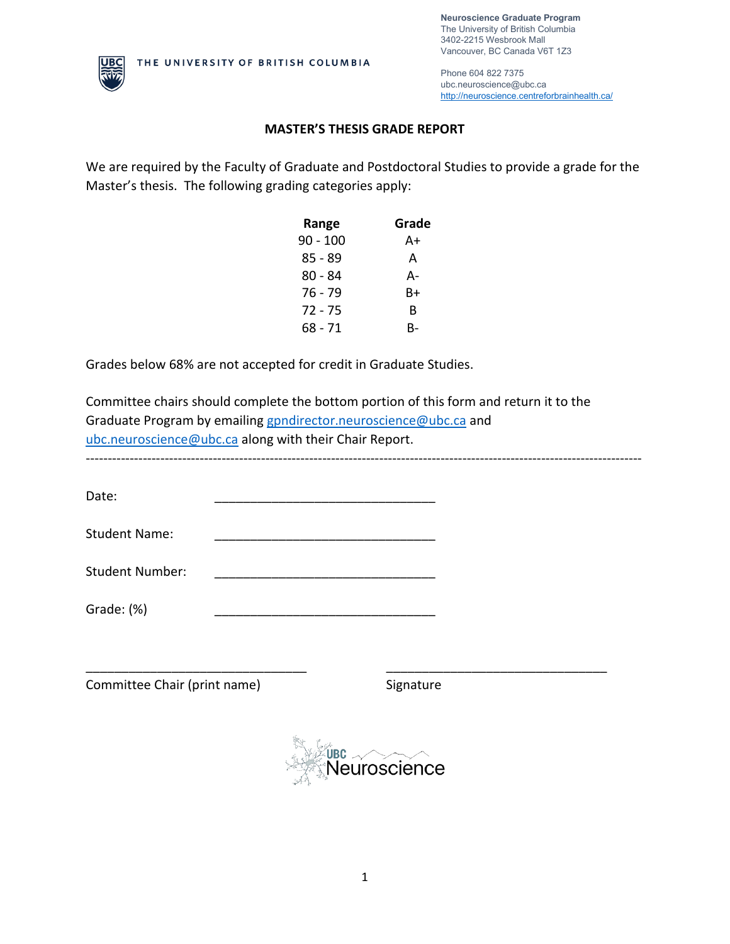**Neuroscience Graduate Program** The University of British Columbia 3402-2215 Wesbrook Mall Vancouver, BC Canada V6T 1Z3



Phone 604 822 7375 ubc.neuroscience@ubc.ca <http://neuroscience.centreforbrainhealth.ca/>

## **MASTER'S THESIS GRADE REPORT**

We are required by the Faculty of Graduate and Postdoctoral Studies to provide a grade for the Master's thesis. The following grading categories apply:

| Range    | Grade |
|----------|-------|
| 90 - 100 | A+    |
| 85 - 89  | А     |
| 80 - 84  | А-    |
| 76 - 79  | B+    |
| 72 - 75  | R     |
| 68 - 71  | R-    |

Grades below 68% are not accepted for credit in Graduate Studies.

Committee chairs should complete the bottom portion of this form and return it to the Graduate Program by emailing [gpndirector.neuroscience@ubc.ca](mailto:gpndirector.neuroscience@ubc.ca) and [ubc.neuroscience@ubc.ca](mailto:ubc.neuroscience@ubc.ca) along with their Chair Report. -------------------------------------------------------------------------------------------------------------------------------

Date: \_\_\_\_\_\_\_\_\_\_\_\_\_\_\_\_\_\_\_\_\_\_\_\_\_\_\_\_\_\_\_

Student Name:

Student Number:

Grade: (%)

Committee Chair (print name) Signature



\_\_\_\_\_\_\_\_\_\_\_\_\_\_\_\_\_\_\_\_\_\_\_\_\_\_\_\_\_\_\_ \_\_\_\_\_\_\_\_\_\_\_\_\_\_\_\_\_\_\_\_\_\_\_\_\_\_\_\_\_\_\_